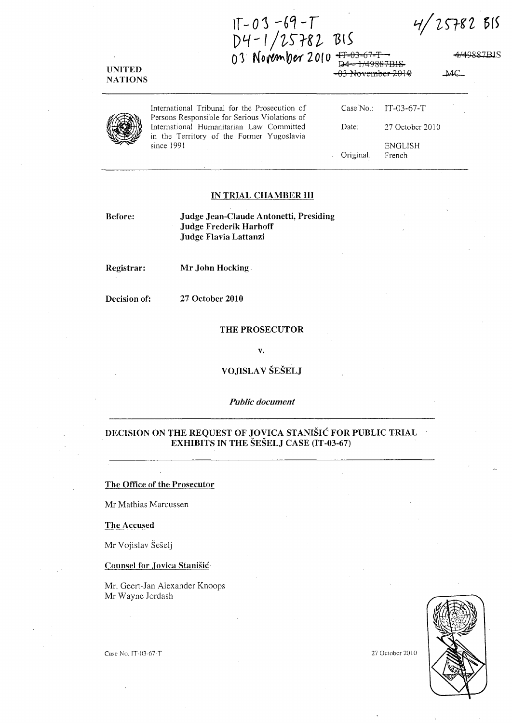$4/25782$  BIS

# 1 $T - 03 - 69 - T$ <br>D4-1/25782 BIS<br>03 November 2010 <del>18-03-67-7</del>

**UNITED NATIONS** 

 $D4 - 1/49887B15$ <del>-03 November 2010</del>

Date:

Original:

4/49887BIS

International Tribunal for the Prosecution of Persons Responsible for Serious Violations of International Humanitarian Law Committed in the Territory of the Former Yugoslavia since 1991

| Case No.: | $IT-03-67-T$ |
|-----------|--------------|

27 October 2010

**ENGLISH** French

# **IN TRIAL CHAMBER III**

| <b>Before:</b> | Judge Jean-Claude Antonetti, Presiding |
|----------------|----------------------------------------|
|                | <b>Judge Frederik Harhoff</b>          |
|                | Judge Flavia Lattanzi                  |

Registrar: Mr John Hocking

27 October 2010 Decision of:

### THE PROSECUTOR

v.

VOJISLAV ŠEŠELJ

**Public document** 

# DECISION ON THE REQUEST OF JOVICA STANIŠIĆ FOR PUBLIC TRIAL EXHIBITS IN THE ŠEŠELJ CASE (IT-03-67)

The Office of the Prosecutor

Mr Mathias Marcussen

**The Accused** 

Mr Vojislav Šešelj

## Counsel for Jovica Stanišić

Mr. Geert-Jan Alexander Knoops Mr Wayne Jordash



Case No. IT-03-67-T

27 October 2010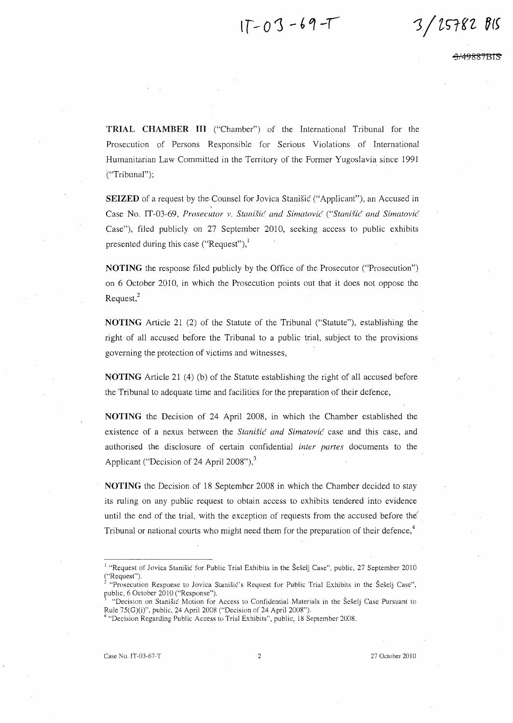$17 - 03 - 69 - T$ 

3/25782 BIS

49887BIS

**TRIAL CHAMBER III** ("Chamber") of the International Tribunal for the Prosecution of Persons Responsible for Serious Violations of International Humanitarian Law Committed in the Territory of the Former Yugoslavia since 1991 ("Tribunal");

**SEIZED** of a request by the Counsel for Jovica Stanisic ("Applicant"), an Accused in Case No. IT-03-69, *Prosecutor v. Stanišić and Simatović* ("Stanišić and Simatović Case"), filed publicly on 27 September 2010, seeking access to public exhibits presented during this case ("Request"), $\frac{1}{1}$ 

**NOTING** the response filed publicly by the Office of the Prosecutor ("Prosecution") on 6 October 2010, in which the Prosecution points out that it does not oppose the Request,<sup>2</sup>

**NOTING** Article 21 (2) of the Statute of the Tribunal ("Statute"), establishing the right of all accused before the Tribunal to a public trial, subject to the provisions governing the protection of victims and witnesses,

**NOTING** Article 21 (4) (b) of the Statute establishing the right of all accused before the Tribunal to adequate time and facilities for the preparation of their defence,

**NOTING** the Decision of 24 April 2008, in which the Chamber established the existence of a nexus between the *Stanisic and Simatovie'* case and this case, and authorised the disclosure of certain confidential *inter partes* documents to the Applicant ("Decision of 24 April 2008"), $3$ 

**NOTING** the Decision of 18 September 2008 in which the Chamber decided to stay its ruling on any public request to obtain access to exhibits tendered into evidence until the end of the trial, with the exception of requests from the accused before the Tribunal or national courts who might need them for the preparation of their defence,<sup>4</sup>

<sup>&</sup>lt;sup>1</sup> "Request of Jovica Stanišić for Public Trial Exhibits in the Šešelj Case", public, 27 September 2010 ("Request").

<sup>&</sup>lt;sup>2</sup> "Prosecution Response to Jovica Stanišić's Request for Public Trial Exhibits in the Sešelj Case", <sup>1</sup> "Request of Jovica Stanišić for Public Trial Exhibits in the Šešelj Case", public, 27<br>
("Request"),<br>
<sup>2</sup> "Prosecution Response to Jovica Stanišić's Request for Public Trial Exhibits in the Sešelj C<br>
<sup>3</sup> "Decision on St

<sup>&</sup>quot;Decision on Stanišić Motion for Access to Confidential Materials in the Šešelj Case Pursuant to Rule  $75(G)(i)$ ", public, 24 April 2008 ("Decision of 24 April 2008").

<sup>&</sup>lt;sup>4</sup> "Decision Regarding Public Access to Trial Exhibits", public, 18 September 2008.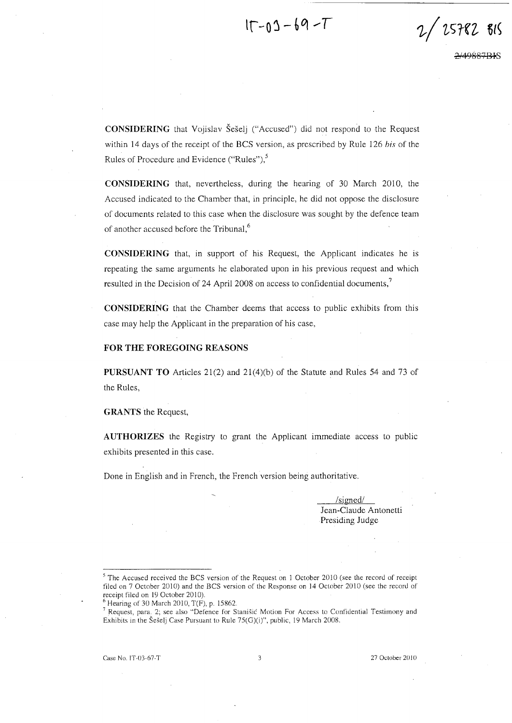$15 - 03 - 69 - T$ 

 $2/25782815$ 

**2i49887BJ.S** 

**CONSIDERING** that Vojislav Seselj ("Accused") did not respond to the Request within 14 days of the receipt of the BCS version, as prescribed by Rule 126 *bis* of the Rules of Procedure and Evidence ("Rules"),<sup>5</sup>

**CONSIDERING** that, nevertheless, during the hearing of 30 March 2010, the Accused indicated to the Chamber that, in principle, he did not oppose the disclosure of documents related to this case when the disclosure was sought by the defence team of another accused before the Tribunal,<sup>6</sup>

**CONSIDERING** that, in support of his Request, the Applicant indicates he is repeating the same arguments he elaborated upon in his previous request and which resulted in the Decision of 24 April 2008 on access to confidential documents,<sup>7</sup>

**CONSIDERING** that the Chamber deems that access to public exhibits from this case may help the Applicant in the preparation of his case,

### **FOR THE FOREGOING REASONS**

**PURSUANT TO** Articles 21(2) and 21(4)(b) of the Statute and Rules 54 and 73 of the Rules,

**GRANTS** the Request,

**AUTHORIZES** the Registry to grant the Applicant immediate access to public exhibits presented in this case.

Done in English and in French, the French version being authoritative.

/signed/ Jean-Claude Antonetti Presiding Judge

Case No. 1T-03-67-T 3 27 October 2010

<sup>&</sup>lt;sup>5</sup> The Accused received the BCS version of the Request on 1 October 2010 (see the record of receipt filed on 7 October 2010) and the BCS version of the Response on 14 October 2010 (see the record of receipt filed on 19 October 2010).

<sup>&</sup>lt;sup>o</sup> Hearing of 30 March 2010,  $T(F)$ , p. 15862.

<sup>&</sup>lt;sup>7</sup> Request, para. 2; see also "Defence for Stanišić Motion For Access to Confidential Testimony and Exhibits in the Šešelj Case Pursuant to Rule  $75(G)(i)$ ", public, 19 March 2008.